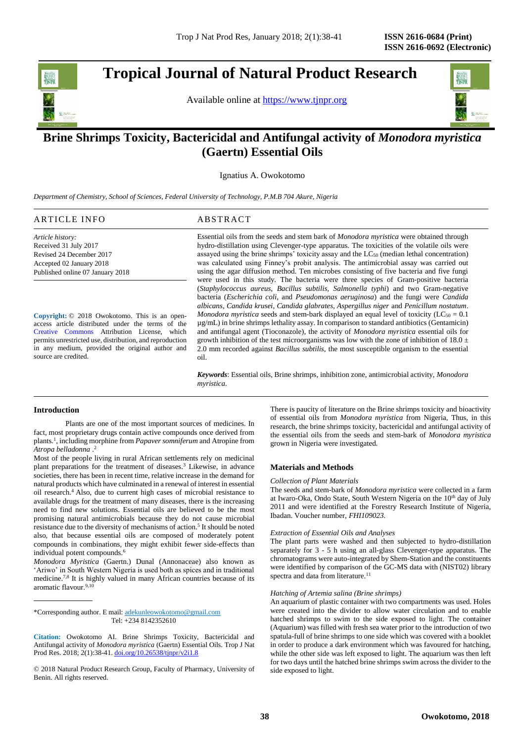**Tropical Journal of Natural Product Research** 

Available online at [https://www.tjnpr.org](https://www.tjnpr.org/)



## . **Brine Shrimps Toxicity, Bactericidal and Antifungal activity of** *Monodora myristica* **(Gaertn) Essential Oils**

Ignatius A. Owokotomo

*Department of Chemistry, School of Sciences, Federal University of Technology, P.M.B 704 Akure, Nigeria*

# ARTICLE INFO ABSTRACT

*Article history:* Received 31 July 2017 Revised 24 December 2017 Accepted 02 January 2018 Published online 07 January 2018

**Copyright:** © 2018 Owokotomo. This is an openaccess article distributed under the terms of the [Creative Commons](https://creativecommons.org/licenses/by/4.0/) Attribution License, which permits unrestricted use, distribution, and reproduction in any medium, provided the original author and source are credited.

Essential oils from the seeds and stem bark of *Monodora myristica* were obtained through hydro-distillation using Clevenger-type apparatus. The toxicities of the volatile oils were assayed using the brine shrimps' toxicity assay and the LC<sub>50</sub> (median lethal concentration) was calculated using Finney's probit analysis. The antimicrobial assay was carried out using the agar diffusion method. Ten microbes consisting of five bacteria and five fungi were used in this study. The bacteria were three species of Gram-positive bacteria (*Staphylococcus aureus, Bacillus subtilis, Salmonella typhi*) and two Gram-negative bacteria (*Escherichia coli,* and *Pseudomonas aeruginosa*) and the fungi were *Candida albicans, Candida krusei, Candida glabrates, Aspergillus niger* and *Penicillum nostatum*. *Monodora myristica* seeds and stem-bark displayed an equal level of toxicity ( $LC_{50} = 0.1$ ) µg/mL) in brine shrimps lethality assay. In comparison to standard antibiotics (Gentamicin) and antifungal agent (Tioconazole), the activity of *Monodora myristica* essential oils for growth inhibition of the test microorganisms was low with the zone of inhibition of 18.0  $\pm$ 2.0 mm recorded against *Bacillus subtilis*, the most susceptible organism to the essential oil.

*Keywords*: Essential oils, Brine shrimps, inhibition zone, antimicrobial activity, *Monodora myristica*.

#### **Introduction**

Plants are one of the most important sources of medicines. In fact, most proprietary drugs contain active compounds once derived from plants.<sup>1</sup> , including morphine from *Papaver somniferum* and Atropine from *Atropa belladonna* . 2

Most of the people living in rural African settlements rely on medicinal plant preparations for the treatment of diseases.<sup>3</sup> Likewise, in advance societies, there has been in recent time, relative increase in the demand for natural products which have culminated in a renewal of interest in essential oil research.<sup>4</sup> Also, due to current high cases of microbial resistance to available drugs for the treatment of many diseases, there is the increasing need to find new solutions. Essential oils are believed to be the most promising natural antimicrobials because they do not cause microbial resistance due to the diversity of mechanisms of action.<sup>5</sup> It should be noted also, that because essential oils are composed of moderately potent compounds in combinations, they might exhibit fewer side-effects than individual potent compounds.<sup>6</sup>

*Monodora Myristica* (Gaertn.) Dunal (Annonaceae) also known as 'Ariwo' in South Western Nigeria is used both as spices and in traditional medicine.7,8 It is highly valued in many African countries because of its aromatic flavour.<sup>9,10</sup>

\*Corresponding author. E mail[: adekunleowokotomo@gmail.com](mailto:adekunleowokotomo@gmail.com) Tel: +234 8142352610

© 2018 Natural Product Research Group, Faculty of Pharmacy, University of Benin. All rights reserved.

There is paucity of literature on the Brine shrimps toxicity and bioactivity of essential oils from *Monodora myristica* from Nigeria, Thus, in this research, the brine shrimps toxicity, bactericidal and antifungal activity of the essential oils from the seeds and stem-bark of *Monodora myristica* grown in Nigeria were investigated.

## **Materials and Methods**

#### *Collection of Plant Materials*

The seeds and stem-bark of *Monodora myristica* were collected in a farm at Iwaro-Oka, Ondo State, South Western Nigeria on the 10<sup>th</sup> day of July 2011 and were identified at the Forestry Research Institute of Nigeria, Ibadan. Voucher number, *FHI109023.*

#### *Extraction of Essential Oils and Analyses*

The plant parts were washed and then subjected to hydro-distillation separately for 3 - 5 h using an all-glass Clevenger-type apparatus. The chromatograms were auto-integrated by Shem-Station and the constituents were identified by comparison of the GC-MS data with (NIST02) library spectra and data from literature.<sup>11</sup>

#### *Hatching of Artemia salina (Brine shrimps)*

An aquarium of plastic container with two compartments was used. Holes were created into the divider to allow water circulation and to enable hatched shrimps to swim to the side exposed to light. The container (Aquarium) was filled with fresh sea water prior to the introduction of two spatula-full of brine shrimps to one side which was covered with a booklet in order to produce a dark environment which was favoured for hatching, while the other side was left exposed to light. The aquarium was then left for two days until the hatched brine shrimps swim across the divider to the side exposed to light.

**Citation:** Owokotomo AI. Brine Shrimps Toxicity, Bactericidal and Antifungal activity of *Monodora myristica* (Gaertn) Essential Oils. Trop J Nat Prod Res. 2018; 2(1):38-41. [doi.org/10.26538/tjnpr/v2i1.8](http://www.doi.org/10.26538/tjnpr/v1i4.5)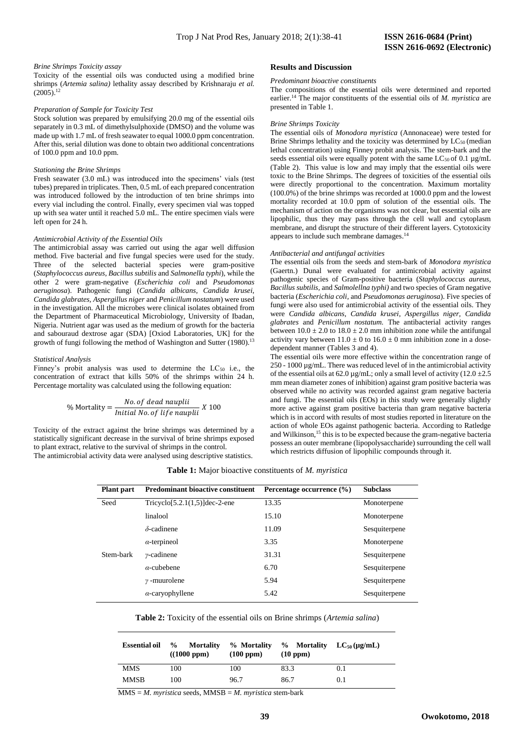#### *Brine Shrimps Toxicity assay*

Toxicity of the essential oils was conducted using a modified brine shrimps (*Artemia salina)* lethality assay described by Krishnaraju *et al.*  $(2005).$ <sup>12</sup>

#### *Preparation of Sample for Toxicity Test*

Stock solution was prepared by emulsifying 20.0 mg of the essential oils separately in 0.3 mL of dimethylsulphoxide (DMSO) and the volume was made up with 1.7 mL of fresh seawater to equal 1000.0 ppm concentration. After this, serial dilution was done to obtain two additional concentrations of 100.0 ppm and 10.0 ppm.

#### *Stationing the Brine Shrimps*

Fresh seawater (3.0 mL) was introduced into the specimens' vials (test tubes) prepared in triplicates. Then, 0.5 mL of each prepared concentration was introduced followed by the introduction of ten brine shrimps into every vial including the control. Finally, every specimen vial was topped up with sea water until it reached 5.0 mL. The entire specimen vials were left open for 24 h.

#### *Antimicrobial Activity of the Essential Oils*

The antimicrobial assay was carried out using the agar well diffusion method. Five bacterial and five fungal species were used for the study. Three of the selected bacterial species were gram-positive (*Staphylococcus aureus, Bacillus subtilis* and *Salmonella typhi*), while the other 2 were gram-negative (*Escherichia coli* and *Pseudomonas aeruginosa*). Pathogenic fungi (*Candida albicans, Candida krusei, Candida glabrates, Aspergillus niger* and *Penicillum nostatum*) were used in the investigation. All the microbes were clinical isolates obtained from the Department of Pharmaceutical Microbiology, University of Ibadan, Nigeria. Nutrient agar was used as the medium of growth for the bacteria and sabouraud dextrose agar (SDA) [Oxiod Laboratories, UK] for the growth of fungi following the method of Washington and Sutter (1980).<sup>13</sup>

#### *Statistical Analysis*

Finney's probit analysis was used to determine the LC<sub>50</sub> i.e., the concentration of extract that kills 50% of the shrimps within 24 h. Percentage mortality was calculated using the following equation:

$$
\% \text{ Mortality} = \frac{No. \text{ of dead nauplii}}{\text{Initial No. of life nauplii}} \, X \, 100
$$

Toxicity of the extract against the brine shrimps was determined by a statistically significant decrease in the survival of brine shrimps exposed to plant extract, relative to the survival of shrimps in the control. The antimicrobial activity data were analysed using descriptive statistics.

#### **Results and Discussion**

#### *Predominant bioactive constituents*

The compositions of the essential oils were determined and reported earlier.<sup>14</sup> The major constituents of the essential oils of *M. myristica* are presented in Table 1.

#### *Brine Shrimps Toxicity*

The essential oils of *Monodora myristica* (Annonaceae) were tested for Brine Shrimps lethality and the toxicity was determined by  $LC_{50}$  (median lethal concentration) using Finney probit analysis*.* The stem-bark and the seeds essential oils were equally potent with the same  $LC_{50}$  of 0.1  $\mu$ g/mL (Table 2). This value is low and may imply that the essential oils were toxic to the Brine Shrimps. The degrees of toxicities of the essential oils were directly proportional to the concentration. Maximum mortality (100.0%) of the brine shrimps was recorded at 1000.0 ppm and the lowest mortality recorded at 10.0 ppm of solution of the essential oils. The mechanism of action on the organisms was not clear, but essential oils are lipophilic, thus they may pass through the cell wall and cytoplasm membrane, and disrupt the structure of their different layers. Cytotoxicity appears to include such membrane damages.<sup>14</sup>

#### *Antibacterial and antifungal activities*

The essential oils from the seeds and stem-bark of *Monodora myristica* (Gaertn.) Dunal were evaluated for antimicrobial activity against pathogenic species of Gram-positive bacteria (*Staphylococcus aureus, Bacillus subtilis,* and *Salmolellna typhi)* and two species of Gram negative bacteria (*Escherichia coli,* and *Pseudomonas aeruginosa*). Five species of fungi were also used for antimicrobial activity of the essential oils. They were *Candida albicans, Candida krusei, Aspergillus niger, Candida glabrates* and *Penicillum nostatum.* The antibacterial activity ranges between  $10.0 \pm 2.0$  to  $18.0 \pm 2.0$  mm inhibition zone while the antifungal activity vary between  $11.0 \pm 0$  to  $16.0 \pm 0$  mm inhibition zone in a dosedependent manner (Tables 3 and 4).

The essential oils were more effective within the concentration range of 250 - 1000 µg/mL. There was reduced level of in the antimicrobial activity of the essential oils at 62.0  $\mu$ g/mL; only a small level of activity (12.0 ±2.5) mm mean diameter zones of inhibition) against gram positive bacteria was observed while no activity was recorded against gram negative bacteria and fungi. The essential oils (EOs) in this study were generally slightly more active against gram positive bacteria than gram negative bacteria which is in accord with results of most studies reported in literature on the action of whole EOs against pathogenic bacteria. According to Ratledge and Wilkinson, <sup>15</sup> this is to be expected because the gram-negative bacteria possess an outer membrane (lipopolysaccharide) surrounding the cell wall which restricts diffusion of lipophilic compounds through it.

| Plant part | <b>Predominant bioactive constituent</b>   | Percentage occurrence (%) | <b>Subclass</b> |
|------------|--------------------------------------------|---------------------------|-----------------|
| Seed       | Tricyclo <sup>[5.2.1(1,5)</sup> ]dec-2-ene | 13.35                     | Monoterpene     |
|            | linalool                                   | 15.10                     | Monoterpene     |
|            | $\delta$ -cadinene                         | 11.09                     | Sesquiterpene   |
|            | $\alpha$ -terpineol                        | 3.35                      | Monoterpene     |
| Stem-bark  | $\nu$ -cadinene                            | 31.31                     | Sesquiterpene   |
|            | $\alpha$ -cubebene                         | 6.70                      | Sesquiterpene   |
|            | $\gamma$ -muurolene                        | 5.94                      | Sesquiterpene   |

**Table 1:** Major bioactive constituents of *M. myristica*

|  |  |  | <b>Table 2:</b> Toxicity of the essential oils on Brine shrimps (Artemia salina) |  |
|--|--|--|----------------------------------------------------------------------------------|--|
|  |  |  |                                                                                  |  |

*α*-caryophyllene 5.42 Sesquiterpene

| <b>Essential oil</b> | % Mortality<br>((1000~ppm)) | % Mortality<br>(100 ppm) | % Mortality<br>(10 ppm) | $LC_{50}$ (µg/mL) |
|----------------------|-----------------------------|--------------------------|-------------------------|-------------------|
| <b>MMS</b>           | 100                         | 100                      | 83.3                    | 0.1               |
| <b>MMSB</b>          | 100                         | 96.7                     | 86.7                    | 0.1               |

MMS = *M. myristica* seeds, MMSB = *M. myristica* stem-bark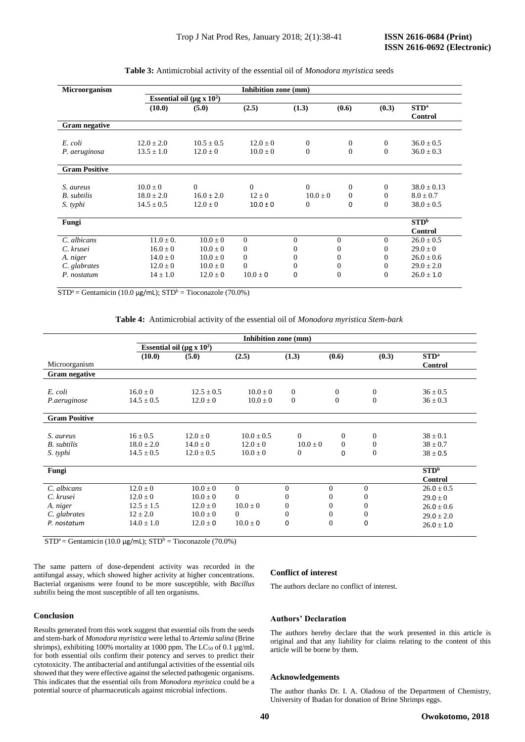| Microorganism        | Inhibition zone (mm)                        |                |                  |                |              |                  |                                    |
|----------------------|---------------------------------------------|----------------|------------------|----------------|--------------|------------------|------------------------------------|
|                      | Essential oil ( $\mu$ g x 10 <sup>2</sup> ) |                |                  |                |              |                  |                                    |
|                      | (10.0)                                      | (5.0)          | (2.5)            | (1.3)          | (0.6)        | (0.3)            | STD <sup>a</sup><br><b>Control</b> |
| <b>Gram negative</b> |                                             |                |                  |                |              |                  |                                    |
| E. coli              | $12.0 \pm 2.0$                              | $10.5 \pm 0.5$ | $12.0 \pm 0$     | $\mathbf{0}$   | $\mathbf{0}$ | $\mathbf{0}$     | $36.0 \pm 0.5$                     |
| P. aeruginosa        | $13.5 \pm 1.0$                              | $12.0 \pm 0$   | $10.0 \pm 0$     | $\overline{0}$ | $\Omega$     | $\overline{0}$   | $36.0 \pm 0.3$                     |
| <b>Gram Positive</b> |                                             |                |                  |                |              |                  |                                    |
| S. aureus            | $10.0 + 0$                                  | $\Omega$       | $\Omega$         | $\Omega$       | $\mathbf{0}$ | $\mathbf{0}$     | $38.0 \pm 0.13$                    |
| <b>B.</b> subtilis   | $18.0 \pm 2.0$                              | $16.0 + 2.0$   | $12 \pm 0$       | $10.0 \pm 0$   | $\Omega$     | $\mathbf{0}$     | $8.0 \pm 0.7$                      |
| S. typhi             | $14.5 \pm 0.5$                              | $12.0 \pm 0$   | $10.0 \pm 0$     | $\mathbf{0}$   | $\Omega$     | $\overline{0}$   | $38.0 \pm 0.5$                     |
| Fungi                |                                             |                |                  |                |              |                  | STD <sup>b</sup>                   |
|                      |                                             |                |                  |                |              |                  | <b>Control</b>                     |
| C. albicans          | $11.0 \pm 0.$                               | $10.0 \pm 0$   | $\mathbf{0}$     | $\Omega$       | $\Omega$     | $\Omega$         | $26.0 \pm 0.5$                     |
| C. krusei            | $16.0 \pm 0$                                | $10.0 \pm 0$   | $\boldsymbol{0}$ | 0              | 0            | $\mathbf{0}$     | $29.0 \pm 0$                       |
| A. niger             | $14.0 \pm 0$                                | $10.0 \pm 0$   | $\mathbf{0}$     | $\Omega$       | $\Omega$     | $\overline{0}$   | $26.0 \pm 0.6$                     |
| C. glabrates         | $12.0 \pm 0$                                | $10.0 \pm 0$   | $\mathbf{0}$     | $\mathbf{0}$   | $\theta$     | $\boldsymbol{0}$ | $29.0 \pm 2.0$                     |
| P. nostatum          | $14 \pm 1.0$                                | $12.0 \pm 0$   | $10.0 \pm 0$     | $\Omega$       | $\Omega$     | $\overline{0}$   | $26.0 \pm 1.0$                     |

| <b>Table 3:</b> Antimicrobial activity of the essential oil of <i>Monodora myristica</i> seeds |  |  |
|------------------------------------------------------------------------------------------------|--|--|
|------------------------------------------------------------------------------------------------|--|--|

 $STD^a =$  Gentamicin (10.0  $\mu$ g/mL);  $STD^b =$  Tioconazole (70.0%)

**Table 4:** Antimicrobial activity of the essential oil of *Monodora myristica Stem-bark*

|                      | Essential oil ( $\mu$ g x 10 <sup>2</sup> ) |                |              |                |                |                |                                    |
|----------------------|---------------------------------------------|----------------|--------------|----------------|----------------|----------------|------------------------------------|
| Microorganism        | (10.0)                                      | (5.0)          | (2.5)        | (1.3)          | (0.6)          | (0.3)          | STD <sup>a</sup><br><b>Control</b> |
| <b>Gram negative</b> |                                             |                |              |                |                |                |                                    |
| E. coli              | $16.0 \pm 0$                                | $12.5 + 0.5$   | $10.0 + 0$   | $\mathbf{0}$   | $\overline{0}$ | $\mathbf{0}$   | $36 \pm 0.5$                       |
| P.aeruginose         | $14.5 \pm 0.5$                              | $12.0 \pm 0$   | $10.0 \pm 0$ | $\mathbf{0}$   | $\mathbf{0}$   | $\overline{0}$ | $36 \pm 0.3$                       |
| <b>Gram Positive</b> |                                             |                |              |                |                |                |                                    |
| S. aureus            | $16 + 0.5$                                  | $12.0 + 0$     | $10.0 + 0.5$ | $\Omega$       | $\Omega$       | $\Omega$       | $38 \pm 0.1$                       |
| <b>B.</b> subtilis   | $18.0 + 2.0$                                | $14.0 + 0$     | $12.0 + 0$   | $10.0 \pm 0$   | $\Omega$       | $\Omega$       | $38 \pm 0.7$                       |
| S. typhi             | $14.5 \pm 0.5$                              | $12.0 \pm 0.5$ | $10.0 \pm 0$ | $\overline{0}$ | 0              | $\Omega$       | $38 \pm 0.5$                       |
| Fungi                |                                             |                |              |                |                |                | STD <sup>b</sup>                   |
|                      |                                             |                |              |                |                |                | <b>Control</b>                     |
| C. albicans          | $12.0 \pm 0$                                | $10.0 \pm 0$   | $\Omega$     | $\Omega$       | $\Omega$       | $\Omega$       | $26.0 \pm 0.5$                     |
| C. krusei            | $12.0 \pm 0$                                | $10.0 \pm 0$   | $\mathbf{0}$ | 0              | $\bf{0}$       | $\theta$       | $29.0 \pm 0$                       |
| A. niger             | $12.5 \pm 1.5$                              | $12.0 \pm 0$   | $10.0 \pm 0$ | $\overline{0}$ | $\Omega$       | $\theta$       | $26.0 \pm 0.6$                     |
| C. glabrates         | $12 \pm 2.0$                                | $10.0 \pm 0$   | $\Omega$     | 0              | 0              | $\Omega$       | $29.0 \pm 2.0$                     |
| P. nostatum          | $14.0 \pm 1.0$                              | $12.0 \pm 0$   | $10.0 \pm 0$ | 0              | $\theta$       | 0              | $26.0 \pm 1.0$                     |

 $STD^a =$  Gentamicin (10.0 µg/mL);  $STD^b =$  Tioconazole (70.0%)

The same pattern of dose-dependent activity was recorded in the antifungal assay, which showed higher activity at higher concentrations. Bacterial organisms were found to be more susceptible, with *Bacillus subtilis* being the most susceptible of all ten organisms*.*

#### **Conclusion**

Results generated from this work suggest that essential oils from the seeds and stem-bark of *Monodora myristica* were lethal to *Artemia salina* (Brine shrimps), exhibiting 100% mortality at 1000 ppm. The  $LC_{50}$  of 0.1  $\mu$ g/mL for both essential oils confirm their potency and serves to predict their cytotoxicity. The antibacterial and antifungal activities of the essential oils showed that they were effective against the selected pathogenic organisms. This indicates that the essential oils from *Monodora myristica* could be a potential source of pharmaceuticals against microbial infections.

### **Conflict of interest**

The authors declare no conflict of interest.

#### **Authors' Declaration**

The authors hereby declare that the work presented in this article is original and that any liability for claims relating to the content of this article will be borne by them.

#### **Acknowledgements**

The author thanks Dr. I. A. Oladosu of the Department of Chemistry, University of Ibadan for donation of Brine Shrimps eggs.